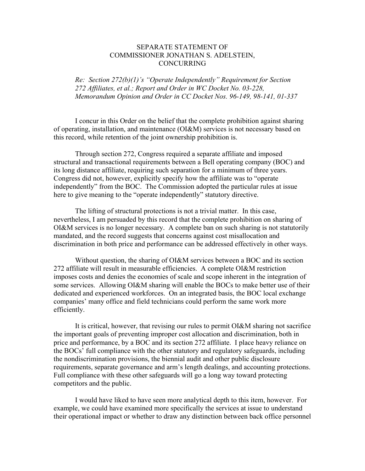## SEPARATE STATEMENT OF COMMISSIONER JONATHAN S. ADELSTEIN, CONCURRING

*Re: Section 272(b)(1)'s "Operate Independently" Requirement for Section 272 Affiliates, et al.; Report and Order in WC Docket No. 03-228, Memorandum Opinion and Order in CC Docket Nos. 96-149, 98-141, 01-337* 

I concur in this Order on the belief that the complete prohibition against sharing of operating, installation, and maintenance (OI&M) services is not necessary based on this record, while retention of the joint ownership prohibition is.

Through section 272, Congress required a separate affiliate and imposed structural and transactional requirements between a Bell operating company (BOC) and its long distance affiliate, requiring such separation for a minimum of three years. Congress did not, however, explicitly specify how the affiliate was to "operate independently" from the BOC. The Commission adopted the particular rules at issue here to give meaning to the "operate independently" statutory directive.

The lifting of structural protections is not a trivial matter. In this case, nevertheless, I am persuaded by this record that the complete prohibition on sharing of OI&M services is no longer necessary. A complete ban on such sharing is not statutorily mandated, and the record suggests that concerns against cost misallocation and discrimination in both price and performance can be addressed effectively in other ways.

Without question, the sharing of OI&M services between a BOC and its section 272 affiliate will result in measurable efficiencies. A complete OI&M restriction imposes costs and denies the economies of scale and scope inherent in the integration of some services. Allowing OI&M sharing will enable the BOCs to make better use of their dedicated and experienced workforces. On an integrated basis, the BOC local exchange companies' many office and field technicians could perform the same work more efficiently.

It is critical, however, that revising our rules to permit OI&M sharing not sacrifice the important goals of preventing improper cost allocation and discrimination, both in price and performance, by a BOC and its section 272 affiliate. I place heavy reliance on the BOCs' full compliance with the other statutory and regulatory safeguards, including the nondiscrimination provisions, the biennial audit and other public disclosure requirements, separate governance and arm's length dealings, and accounting protections. Full compliance with these other safeguards will go a long way toward protecting competitors and the public.

I would have liked to have seen more analytical depth to this item, however. For example, we could have examined more specifically the services at issue to understand their operational impact or whether to draw any distinction between back office personnel